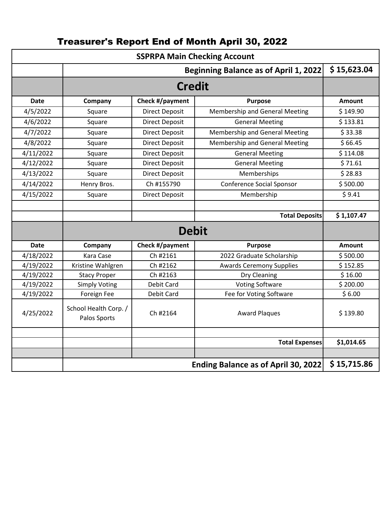| <b>SSPRPA Main Checking Account</b> |                                       |                       |                                  |               |  |  |
|-------------------------------------|---------------------------------------|-----------------------|----------------------------------|---------------|--|--|
|                                     |                                       | \$15,623.04           |                                  |               |  |  |
|                                     |                                       |                       |                                  |               |  |  |
| <b>Date</b>                         | Company                               | Check #/payment       | <b>Purpose</b>                   | <b>Amount</b> |  |  |
| 4/5/2022                            | Square                                | <b>Direct Deposit</b> | Membership and General Meeting   | \$149.90      |  |  |
| 4/6/2022                            | Square                                | <b>Direct Deposit</b> | <b>General Meeting</b>           | \$133.81      |  |  |
| 4/7/2022                            | Square                                | <b>Direct Deposit</b> | Membership and General Meeting   | \$33.38       |  |  |
| 4/8/2022                            | Square                                | <b>Direct Deposit</b> | Membership and General Meeting   | \$66.45       |  |  |
| 4/11/2022                           | Square                                | <b>Direct Deposit</b> | <b>General Meeting</b>           | \$114.08      |  |  |
| 4/12/2022                           | Square                                | <b>Direct Deposit</b> | <b>General Meeting</b>           | \$71.61       |  |  |
| 4/13/2022                           | Square                                | <b>Direct Deposit</b> | Memberships                      | \$28.83       |  |  |
| 4/14/2022                           | Henry Bros.                           | Ch #155790            | <b>Conference Social Sponsor</b> | \$500.00      |  |  |
| 4/15/2022                           | Square                                | <b>Direct Deposit</b> | Membership                       | \$9.41        |  |  |
|                                     |                                       |                       |                                  |               |  |  |
|                                     |                                       |                       | <b>Total Deposits</b>            | \$1,107.47    |  |  |
|                                     |                                       |                       |                                  |               |  |  |
| <b>Date</b>                         | Company                               | Check #/payment       | <b>Purpose</b>                   | <b>Amount</b> |  |  |
| 4/18/2022                           | Kara Case                             | Ch #2161              | 2022 Graduate Scholarship        | \$500.00      |  |  |
| 4/19/2022                           | Kristine Wahlgren                     | Ch #2162              | <b>Awards Ceremony Supplies</b>  | \$152.85      |  |  |
| 4/19/2022                           | <b>Stacy Proper</b>                   | Ch #2163              | Dry Cleaning                     | \$16.00       |  |  |
| 4/19/2022                           | <b>Simply Voting</b>                  | Debit Card            | <b>Voting Software</b>           | \$200.00      |  |  |
| 4/19/2022                           | Foreign Fee                           | Debit Card            | Fee for Voting Software          | \$6.00        |  |  |
| 4/25/2022                           | School Health Corp. /<br>Palos Sports | Ch #2164              | <b>Award Plaques</b>             | \$139.80      |  |  |
|                                     |                                       |                       |                                  |               |  |  |
|                                     |                                       |                       | <b>Total Expenses</b>            | \$1,014.65    |  |  |
|                                     |                                       |                       |                                  |               |  |  |
|                                     | Ending Balance as of April 30, 2022   |                       |                                  |               |  |  |

## Treasurer's Report End of Month April 30, 2022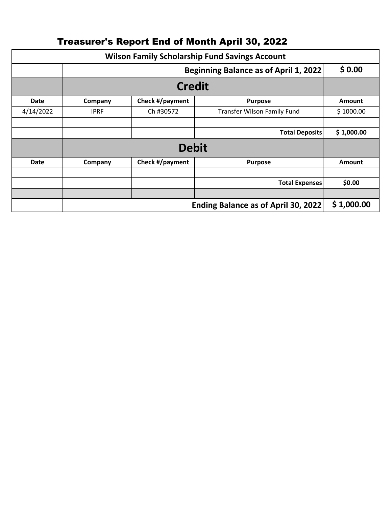| <b>Wilson Family Scholarship Fund Savings Account</b> |             |                 |                             |               |  |  |  |
|-------------------------------------------------------|-------------|-----------------|-----------------------------|---------------|--|--|--|
|                                                       |             | \$0.00          |                             |               |  |  |  |
|                                                       |             |                 |                             |               |  |  |  |
| <b>Date</b>                                           | Company     | Check #/payment | <b>Purpose</b>              | <b>Amount</b> |  |  |  |
| 4/14/2022                                             | <b>IPRF</b> | Ch #30572       | Transfer Wilson Family Fund | \$1000.00     |  |  |  |
|                                                       |             |                 |                             |               |  |  |  |
|                                                       |             |                 | <b>Total Deposits</b>       | \$1,000.00    |  |  |  |
|                                                       |             |                 |                             |               |  |  |  |
| <b>Date</b>                                           | Company     | Check #/payment | <b>Purpose</b>              | <b>Amount</b> |  |  |  |
|                                                       |             |                 |                             |               |  |  |  |
|                                                       |             |                 | <b>Total Expenses</b>       | \$0.00        |  |  |  |
|                                                       |             |                 |                             |               |  |  |  |
|                                                       |             | \$1,000.00      |                             |               |  |  |  |

## Treasurer's Report End of Month April 30, 2022